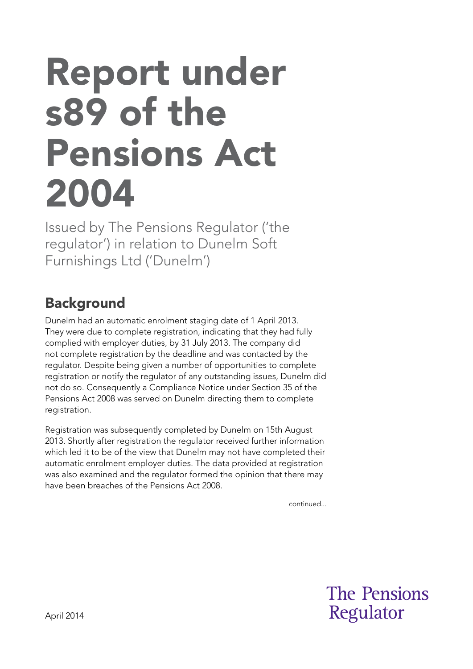# Report under s89 of the Pensions Act 2004

Issued by The Pensions Regulator ('the regulator') in relation to Dunelm Soft Furnishings Ltd ('Dunelm')

## **Background**

Dunelm had an automatic enrolment staging date of 1 April 2013. They were due to complete registration, indicating that they had fully complied with employer duties, by 31 July 2013. The company did not complete registration by the deadline and was contacted by the regulator. Despite being given a number of opportunities to complete registration or notify the regulator of any outstanding issues, Dunelm did not do so. Consequently a Compliance Notice under Section 35 of the Pensions Act 2008 was served on Dunelm directing them to complete registration.

Registration was subsequently completed by Dunelm on 15th August 2013. Shortly after registration the regulator received further information which led it to be of the view that Dunelm may not have completed their automatic enrolment employer duties. The data provided at registration was also examined and the regulator formed the opinion that there may have been breaches of the Pensions Act 2008.

continued...

**The Pensions** Regulator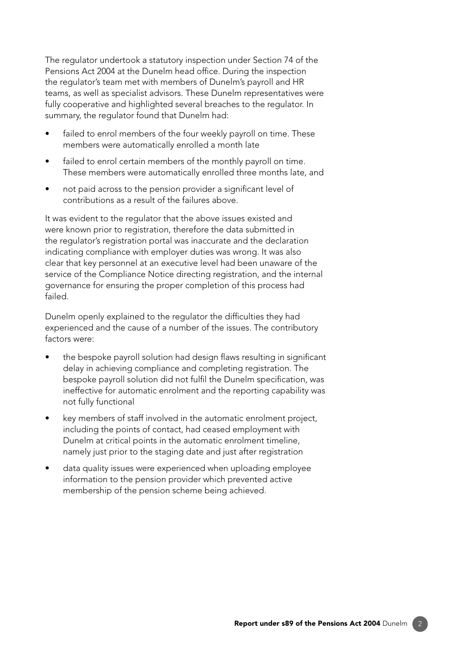The regulator undertook a statutory inspection under Section 74 of the Pensions Act 2004 at the Dunelm head office. During the inspection the regulator's team met with members of Dunelm's payroll and HR teams, as well as specialist advisors. These Dunelm representatives were fully cooperative and highlighted several breaches to the regulator. In summary, the regulator found that Dunelm had:

- failed to enrol members of the four weekly payroll on time. These members were automatically enrolled a month late
- failed to enrol certain members of the monthly payroll on time. These members were automatically enrolled three months late, and
- not paid across to the pension provider a significant level of contributions as a result of the failures above.

It was evident to the regulator that the above issues existed and were known prior to registration, therefore the data submitted in the regulator's registration portal was inaccurate and the declaration indicating compliance with employer duties was wrong. It was also clear that key personnel at an executive level had been unaware of the service of the Compliance Notice directing registration, and the internal governance for ensuring the proper completion of this process had failed.

Dunelm openly explained to the regulator the difficulties they had experienced and the cause of a number of the issues. The contributory factors were:

- the bespoke payroll solution had design flaws resulting in significant delay in achieving compliance and completing registration. The bespoke payroll solution did not fulfil the Dunelm specification, was ineffective for automatic enrolment and the reporting capability was not fully functional
- key members of staff involved in the automatic enrolment project, including the points of contact, had ceased employment with Dunelm at critical points in the automatic enrolment timeline, namely just prior to the staging date and just after registration
- data quality issues were experienced when uploading employee information to the pension provider which prevented active membership of the pension scheme being achieved.

2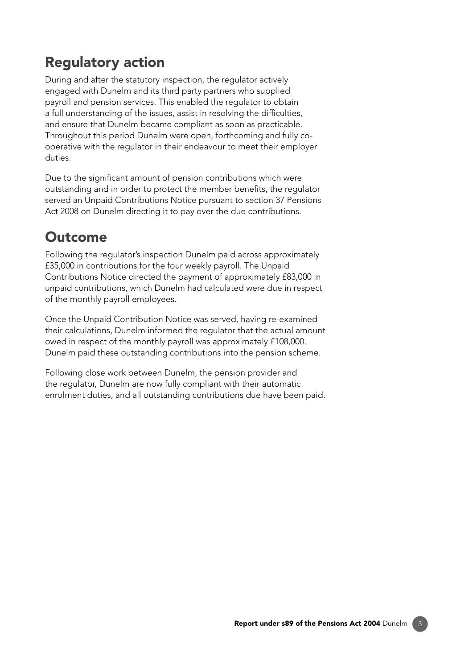### Regulatory action

During and after the statutory inspection, the regulator actively engaged with Dunelm and its third party partners who supplied payroll and pension services. This enabled the regulator to obtain a full understanding of the issues, assist in resolving the difficulties, and ensure that Dunelm became compliant as soon as practicable. Throughout this period Dunelm were open, forthcoming and fully cooperative with the regulator in their endeavour to meet their employer duties.

Due to the signifcant amount of pension contributions which were outstanding and in order to protect the member benefts, the regulator served an Unpaid Contributions Notice pursuant to section 37 Pensions Act 2008 on Dunelm directing it to pay over the due contributions.

### **Outcome**

Following the regulator's inspection Dunelm paid across approximately £35,000 in contributions for the four weekly payroll. The Unpaid Contributions Notice directed the payment of approximately £83,000 in unpaid contributions, which Dunelm had calculated were due in respect of the monthly payroll employees.

Once the Unpaid Contribution Notice was served, having re-examined their calculations, Dunelm informed the regulator that the actual amount owed in respect of the monthly payroll was approximately £108,000. Dunelm paid these outstanding contributions into the pension scheme.

Following close work between Dunelm, the pension provider and the regulator, Dunelm are now fully compliant with their automatic enrolment duties, and all outstanding contributions due have been paid.